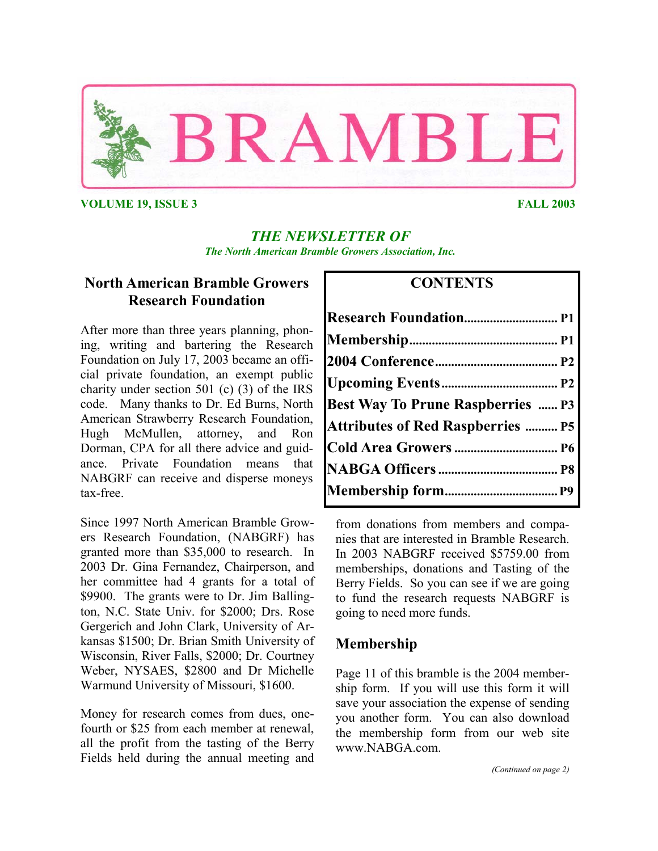

**VOLUME 19, ISSUE 3 FALL 2003** 

## *THE NEWSLETTER OF The North American Bramble Growers Association, Inc.*

# **North American Bramble Growers Research Foundation**

After more than three years planning, phoning, writing and bartering the Research Foundation on July 17, 2003 became an official private foundation, an exempt public charity under section 501 (c) (3) of the IRS code. Many thanks to Dr. Ed Burns, North American Strawberry Research Foundation, Hugh McMullen, attorney, and Ron Dorman, CPA for all there advice and guidance. Private Foundation means that NABGRF can receive and disperse moneys tax-free.

Since 1997 North American Bramble Growers Research Foundation, (NABGRF) has granted more than \$35,000 to research. In 2003 Dr. Gina Fernandez, Chairperson, and her committee had 4 grants for a total of \$9900. The grants were to Dr. Jim Ballington, N.C. State Univ. for \$2000; Drs. Rose Gergerich and John Clark, University of Arkansas \$1500; Dr. Brian Smith University of Wisconsin, River Falls, \$2000; Dr. Courtney Weber, NYSAES, \$2800 and Dr Michelle Warmund University of Missouri, \$1600.

Money for research comes from dues, onefourth or \$25 from each member at renewal, all the profit from the tasting of the Berry Fields held during the annual meeting and

## **CONTENTS**

| <b>Best Way To Prune Raspberries  P3</b> |  |
|------------------------------------------|--|
| <b>Attributes of Red Raspberries  P5</b> |  |
|                                          |  |
|                                          |  |
|                                          |  |

from donations from members and companies that are interested in Bramble Research. In 2003 NABGRF received \$5759.00 from memberships, donations and Tasting of the Berry Fields. So you can see if we are going to fund the research requests NABGRF is going to need more funds.

# **Membership**

Page 11 of this bramble is the 2004 membership form. If you will use this form it will save your association the expense of sending you another form. You can also download the membership form from our web site www.NABGA.com.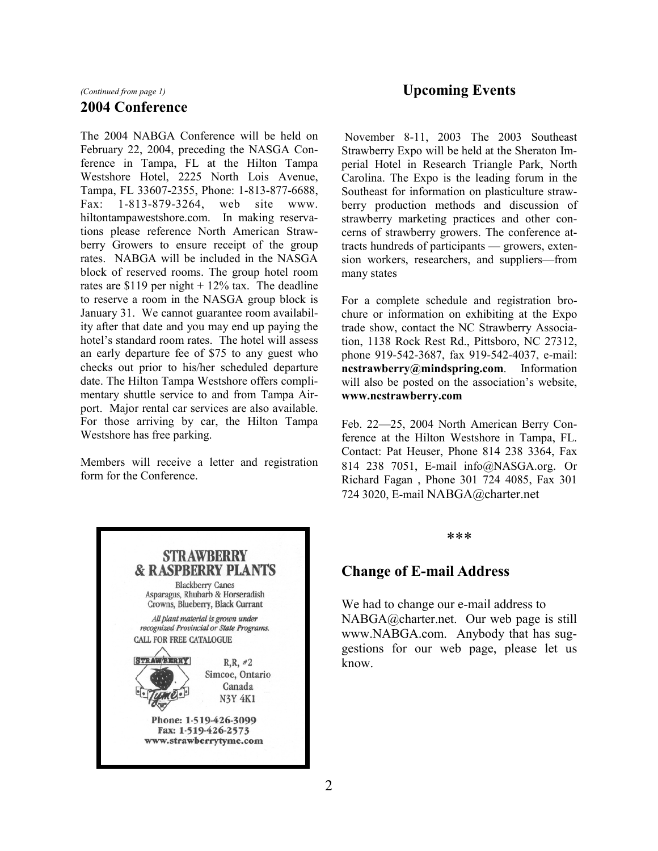#### *(Continued from page 1)*

#### **2004 Conference**

The 2004 NABGA Conference will be held on February 22, 2004, preceding the NASGA Conference in Tampa, FL at the Hilton Tampa Westshore Hotel, 2225 North Lois Avenue, Tampa, FL 33607-2355, Phone: 1-813-877-6688, Fax: 1-813-879-3264, web site www. hiltontampawestshore.com. In making reservations please reference North American Strawberry Growers to ensure receipt of the group rates. NABGA will be included in the NASGA block of reserved rooms. The group hotel room rates are \$119 per night  $+ 12\%$  tax. The deadline to reserve a room in the NASGA group block is January 31. We cannot guarantee room availability after that date and you may end up paying the hotel's standard room rates. The hotel will assess an early departure fee of \$75 to any guest who checks out prior to his/her scheduled departure date. The Hilton Tampa Westshore offers complimentary shuttle service to and from Tampa Airport. Major rental car services are also available. For those arriving by car, the Hilton Tampa Westshore has free parking.

Members will receive a letter and registration form for the Conference.



## **Upcoming Events**

November 8-11, 2003 The 2003 Southeast Strawberry Expo will be held at the Sheraton Imperial Hotel in Research Triangle Park, North Carolina. The Expo is the leading forum in the Southeast for information on plasticulture strawberry production methods and discussion of strawberry marketing practices and other concerns of strawberry growers. The conference attracts hundreds of participants — growers, extension workers, researchers, and suppliers—from many states

For a complete schedule and registration brochure or information on exhibiting at the Expo trade show, contact the NC Strawberry Association, 1138 Rock Rest Rd., Pittsboro, NC 27312, phone 919-542-3687, fax 919-542-4037, e-mail: **ncstrawberry@mindspring.com**. Information will also be posted on the association's website, **www.ncstrawberry.com**

Feb. 22—25, 2004 North American Berry Conference at the Hilton Westshore in Tampa, FL. Contact: Pat Heuser, Phone 814 238 3364, Fax 814 238 7051, E-mail info@NASGA.org. Or Richard Fagan , Phone 301 724 4085, Fax 301 724 3020, E-mail NABGA@charter.net

\*\*\*

## **Change of E-mail Address**

We had to change our e-mail address to NABGA@charter.net. Our web page is still www.NABGA.com. Anybody that has suggestions for our web page, please let us know.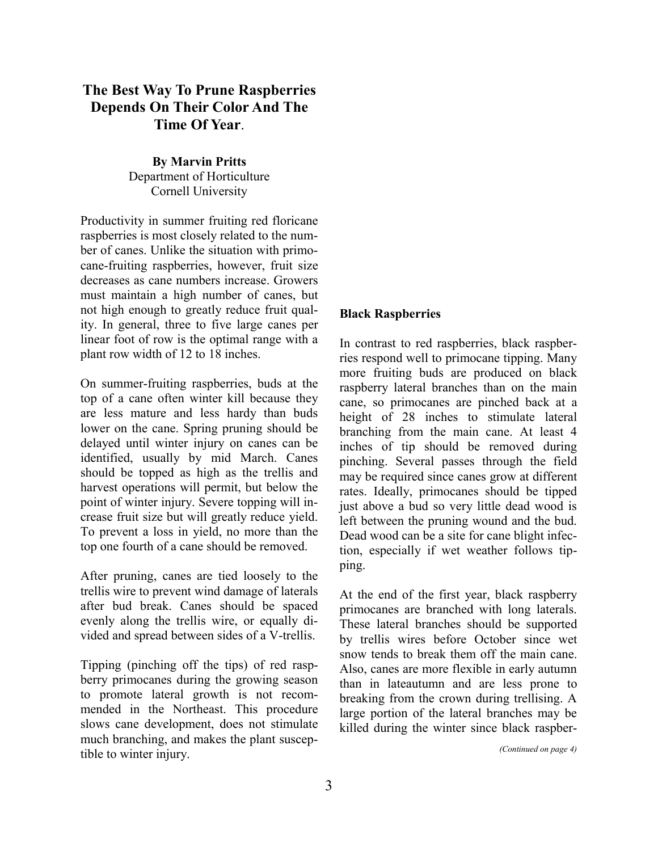# **The Best Way To Prune Raspberries Depends On Their Color And The Time Of Year**.

**By Marvin Pritts**  Department of Horticulture Cornell University

Productivity in summer fruiting red floricane raspberries is most closely related to the number of canes. Unlike the situation with primocane-fruiting raspberries, however, fruit size decreases as cane numbers increase. Growers must maintain a high number of canes, but not high enough to greatly reduce fruit quality. In general, three to five large canes per linear foot of row is the optimal range with a plant row width of 12 to 18 inches.

On summer-fruiting raspberries, buds at the top of a cane often winter kill because they are less mature and less hardy than buds lower on the cane. Spring pruning should be delayed until winter injury on canes can be identified, usually by mid March. Canes should be topped as high as the trellis and harvest operations will permit, but below the point of winter injury. Severe topping will increase fruit size but will greatly reduce yield. To prevent a loss in yield, no more than the top one fourth of a cane should be removed.

After pruning, canes are tied loosely to the trellis wire to prevent wind damage of laterals after bud break. Canes should be spaced evenly along the trellis wire, or equally divided and spread between sides of a V-trellis.

Tipping (pinching off the tips) of red raspberry primocanes during the growing season to promote lateral growth is not recommended in the Northeast. This procedure slows cane development, does not stimulate much branching, and makes the plant susceptible to winter injury.

#### **Black Raspberries**

In contrast to red raspberries, black raspberries respond well to primocane tipping. Many more fruiting buds are produced on black raspberry lateral branches than on the main cane, so primocanes are pinched back at a height of 28 inches to stimulate lateral branching from the main cane. At least 4 inches of tip should be removed during pinching. Several passes through the field may be required since canes grow at different rates. Ideally, primocanes should be tipped just above a bud so very little dead wood is left between the pruning wound and the bud. Dead wood can be a site for cane blight infection, especially if wet weather follows tipping.

At the end of the first year, black raspberry primocanes are branched with long laterals. These lateral branches should be supported by trellis wires before October since wet snow tends to break them off the main cane. Also, canes are more flexible in early autumn than in lateautumn and are less prone to breaking from the crown during trellising. A large portion of the lateral branches may be killed during the winter since black raspber-

*(Continued on page 4)*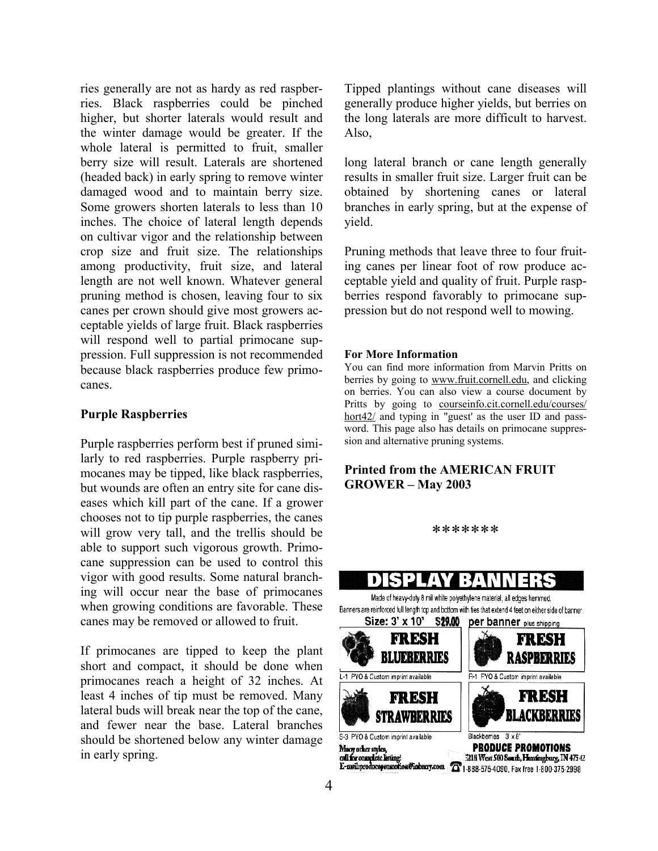ries generally are not as hardy as red raspberries. Black raspberries could be pinched higher, but shorter laterals would result and the winter damage would be greater. If the whole lateral is permitted to fruit, smaller berry size will result. Laterals are shortened (headed back) in early spring to remove winter damaged wood and to maintain berry size. Some growers shorten laterals to less than 10 inches. The choice of lateral length depends on cultivar vigor and the relationship between crop size and fruit size. The relationships among productivity, fruit size, and lateral length are not well known. Whatever general pruning method is chosen, leaving four to six canes per crown should give most growers acceptable yields of large fruit. Black raspberries will respond well to partial primocane suppression. Full suppression is not recommended because black raspberries produce few primocanes.

#### **Purple Raspberries**

Purple raspberries perform best if pruned similarly to red raspberries. Purple raspberry primocanes may be tipped, like black raspberries, but wounds are often an entry site for cane diseases which kill part of the cane. If a grower chooses not to tip purple raspberries, the canes will grow very tall, and the trellis should be able to support such vigorous growth. Primocane suppression can be used to control this vigor with good results. Some natural branching will occur near the base of primocanes when growing conditions are favorable. These canes may be removed or allowed to fruit.

If primocanes are tipped to keep the plant short and compact, it should be done when primocanes reach a height of 32 inches. At least 4 inches of tip must be removed. Many lateral buds will break near the top of the cane, and fewer near the base. Lateral branches should be shortened below any winter damage in early spring.

Tipped plantings without cane diseases will generally produce higher yields, but berries on the long laterals are more difficult to harvest. Also,

long lateral branch or cane length generally results in smaller fruit size. Larger fruit can be obtained by shortening canes or lateral branches in early spring, but at the expense of yield.

Pruning methods that leave three to four fruiting canes per linear foot of row produce acceptable yield and quality of fruit. Purple raspberries respond favorably to primocane suppression but do not respond well to mowing.

#### **For More Information**

You can find more information from Marvin Pritts on berries by going to www.fruit.cornell.edu, and clicking on berries. You can also view a course document by Pritts by going to courseinfo.cit.cornell.edu/courses/ hort42/ and typing in "guest' as the user ID and password. This page also has details on primocane suppression and alternative pruning systems.

#### **Printed from the AMERICAN FRUIT GROWER – May 2003**



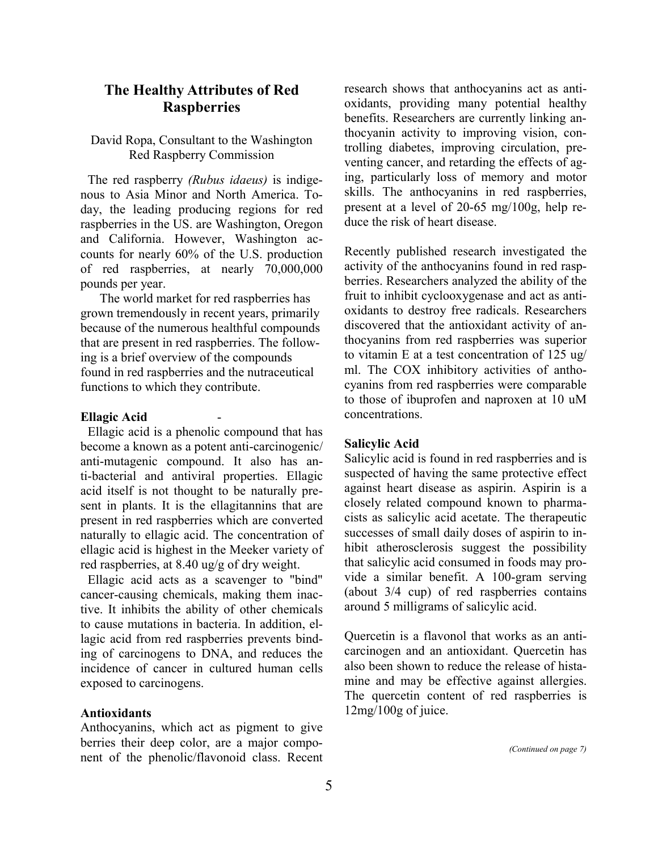## **The Healthy Attributes of Red Raspberries**

#### David Ropa, Consultant to the Washington Red Raspberry Commission

The red raspberry *(Rubus idaeus)* is indigenous to Asia Minor and North America. Today, the leading producing regions for red raspberries in the US. are Washington, Oregon and California. However, Washington accounts for nearly 60% of the U.S. production of red raspberries, at nearly 70,000,000 pounds per year.

The world market for red raspberries has grown tremendously in recent years, primarily because of the numerous healthful compounds that are present in red raspberries. The following is a brief overview of the compounds found in red raspberries and the nutraceutical functions to which they contribute.

#### **Ellagic Acid** -

Ellagic acid is a phenolic compound that has become a known as a potent anti-carcinogenic/ anti-mutagenic compound. It also has anti-bacterial and antiviral properties. Ellagic acid itself is not thought to be naturally present in plants. It is the ellagitannins that are present in red raspberries which are converted naturally to ellagic acid. The concentration of ellagic acid is highest in the Meeker variety of red raspberries, at 8.40 ug/g of dry weight.

Ellagic acid acts as a scavenger to "bind" cancer-causing chemicals, making them inactive. It inhibits the ability of other chemicals to cause mutations in bacteria. In addition, ellagic acid from red raspberries prevents binding of carcinogens to DNA, and reduces the incidence of cancer in cultured human cells exposed to carcinogens.

#### **Antioxidants**

Anthocyanins, which act as pigment to give berries their deep color, are a major component of the phenolic/flavonoid class. Recent research shows that anthocyanins act as antioxidants, providing many potential healthy benefits. Researchers are currently linking anthocyanin activity to improving vision, controlling diabetes, improving circulation, preventing cancer, and retarding the effects of aging, particularly loss of memory and motor skills. The anthocyanins in red raspberries, present at a level of 20-65 mg/100g, help reduce the risk of heart disease.

Recently published research investigated the activity of the anthocyanins found in red raspberries. Researchers analyzed the ability of the fruit to inhibit cyclooxygenase and act as antioxidants to destroy free radicals. Researchers discovered that the antioxidant activity of anthocyanins from red raspberries was superior to vitamin E at a test concentration of 125 ug/ ml. The COX inhibitory activities of anthocyanins from red raspberries were comparable to those of ibuprofen and naproxen at 10 uM concentrations.

#### **Salicylic Acid**

Salicylic acid is found in red raspberries and is suspected of having the same protective effect against heart disease as aspirin. Aspirin is a closely related compound known to pharmacists as salicylic acid acetate. The therapeutic successes of small daily doses of aspirin to inhibit atherosclerosis suggest the possibility that salicylic acid consumed in foods may provide a similar benefit. A 100-gram serving (about 3/4 cup) of red raspberries contains around 5 milligrams of salicylic acid.

Quercetin is a flavonol that works as an anticarcinogen and an antioxidant. Quercetin has also been shown to reduce the release of histamine and may be effective against allergies. The quercetin content of red raspberries is 12mg/100g of juice.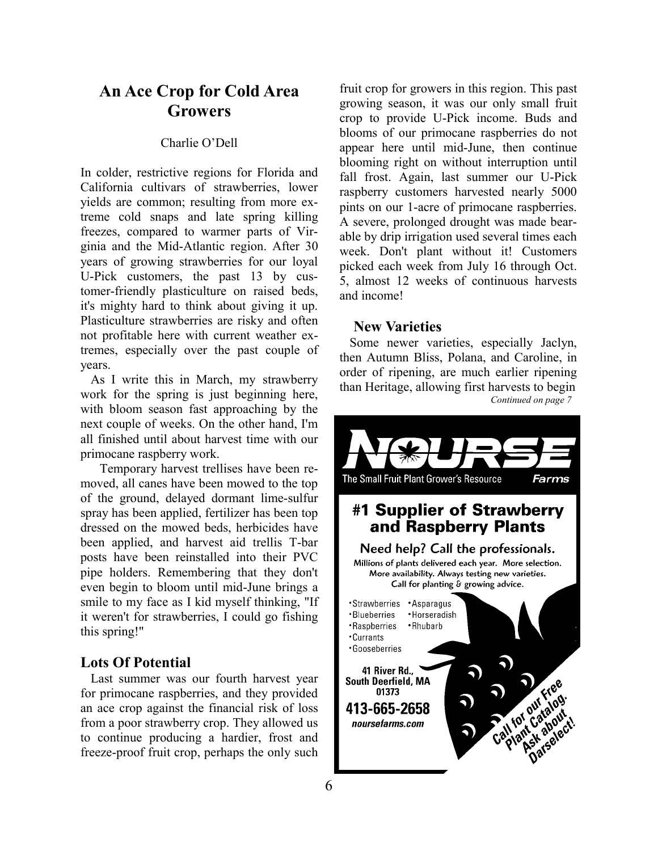# **An Ace Crop for Cold Area Growers**

#### Charlie O'Dell

In colder, restrictive regions for Florida and California cultivars of strawberries, lower yields are common; resulting from more extreme cold snaps and late spring killing freezes, compared to warmer parts of Virginia and the Mid-Atlantic region. After 30 years of growing strawberries for our loyal U-Pick customers, the past 13 by customer-friendly plasticulture on raised beds, it's mighty hard to think about giving it up. Plasticulture strawberries are risky and often not profitable here with current weather extremes, especially over the past couple of years.

As I write this in March, my strawberry work for the spring is just beginning here, with bloom season fast approaching by the next couple of weeks. On the other hand, I'm all finished until about harvest time with our primocane raspberry work.

Temporary harvest trellises have been removed, all canes have been mowed to the top of the ground, delayed dormant lime-sulfur spray has been applied, fertilizer has been top dressed on the mowed beds, herbicides have been applied, and harvest aid trellis T-bar posts have been reinstalled into their PVC pipe holders. Remembering that they don't even begin to bloom until mid-June brings a smile to my face as I kid myself thinking, "If it weren't for strawberries, I could go fishing this spring!"

## **Lots Of Potential**

Last summer was our fourth harvest year for primocane raspberries, and they provided an ace crop against the financial risk of loss from a poor strawberry crop. They allowed us to continue producing a hardier, frost and freeze-proof fruit crop, perhaps the only such

fruit crop for growers in this region. This past growing season, it was our only small fruit crop to provide U-Pick income. Buds and blooms of our primocane raspberries do not appear here until mid-June, then continue blooming right on without interruption until fall frost. Again, last summer our U-Pick raspberry customers harvested nearly 5000 pints on our 1-acre of primocane raspberries. A severe, prolonged drought was made bearable by drip irrigation used several times each week. Don't plant without it! Customers picked each week from July 16 through Oct. 5, almost 12 weeks of continuous harvests and income!

#### **New Varieties**

Some newer varieties, especially Jaclyn, then Autumn Bliss, Polana, and Caroline, in order of ripening, are much earlier ripening than Heritage, allowing first harvests to begin  *Continued on page 7* 

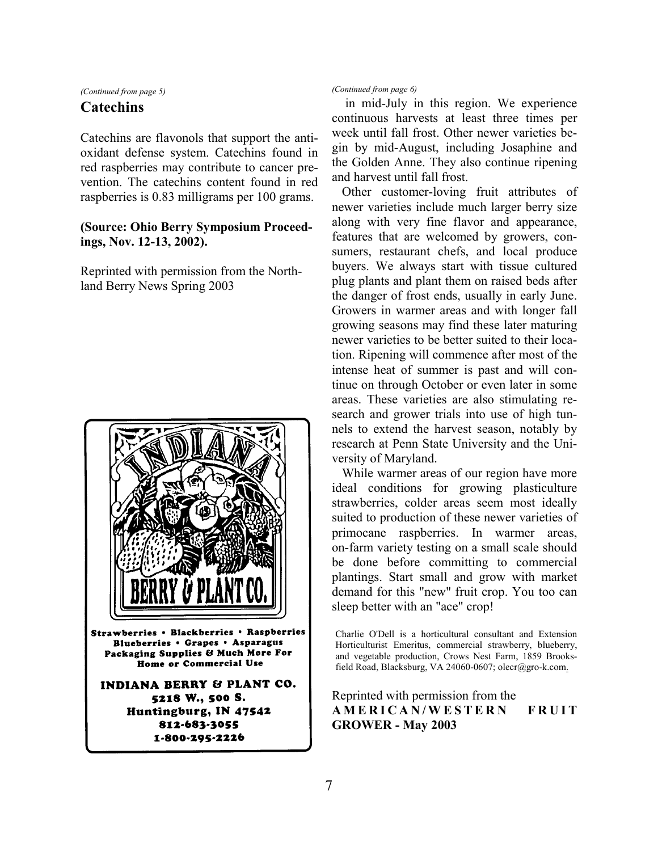*(Continued from page 5)* 

### **Catechins**

Catechins are flavonols that support the antioxidant defense system. Catechins found in red raspberries may contribute to cancer prevention. The catechins content found in red raspberries is 0.83 milligrams per 100 grams.

#### **(Source: Ohio Berry Symposium Proceedings, Nov. 12-13, 2002).**

Reprinted with permission from the Northland Berry News Spring 2003



*(Continued from page 6)* 

 in mid-July in this region. We experience continuous harvests at least three times per week until fall frost. Other newer varieties begin by mid-August, including Josaphine and the Golden Anne. They also continue ripening and harvest until fall frost.

Other customer-loving fruit attributes of newer varieties include much larger berry size along with very fine flavor and appearance, features that are welcomed by growers, consumers, restaurant chefs, and local produce buyers. We always start with tissue cultured plug plants and plant them on raised beds after the danger of frost ends, usually in early June. Growers in warmer areas and with longer fall growing seasons may find these later maturing newer varieties to be better suited to their location. Ripening will commence after most of the intense heat of summer is past and will continue on through October or even later in some areas. These varieties are also stimulating research and grower trials into use of high tunnels to extend the harvest season, notably by research at Penn State University and the University of Maryland.

While warmer areas of our region have more ideal conditions for growing plasticulture strawberries, colder areas seem most ideally suited to production of these newer varieties of primocane raspberries. In warmer areas, on-farm variety testing on a small scale should be done before committing to commercial plantings. Start small and grow with market demand for this "new" fruit crop. You too can sleep better with an "ace" crop!

Reprinted with permission from the **A M E R I C A N / W E S T E R N F R U I T GROWER - May 2003** 

Charlie O'Dell is a horticultural consultant and Extension Horticulturist Emeritus, commercial strawberry, blueberry, and vegetable production, Crows Nest Farm, 1859 Brooksfield Road, Blacksburg, VA 24060-0607; olecr@gro-k.com.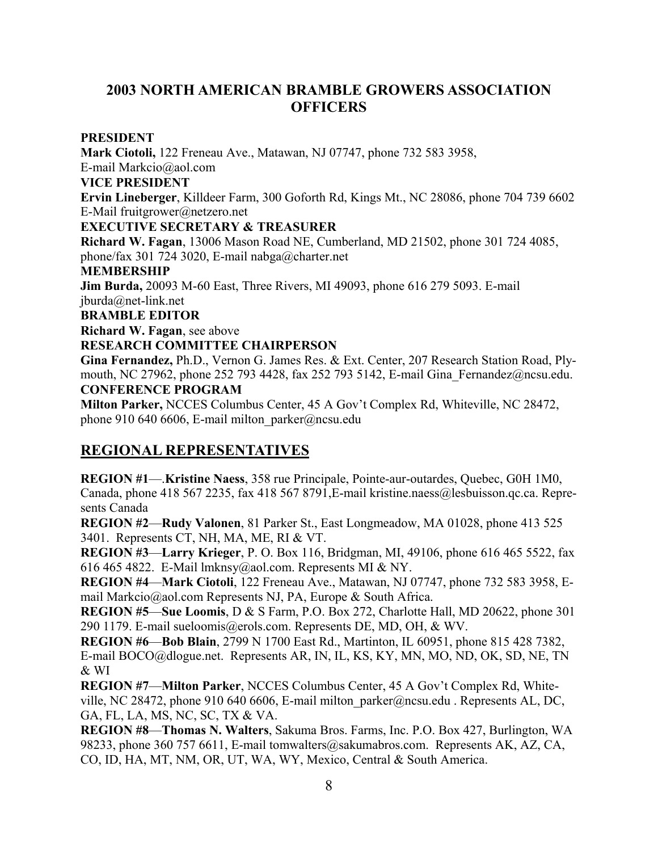# **2003 NORTH AMERICAN BRAMBLE GROWERS ASSOCIATION OFFICERS**

#### **PRESIDENT**

**Mark Ciotoli,** 122 Freneau Ave., Matawan, NJ 07747, phone 732 583 3958, E-mail Markcio@aol.com **VICE PRESIDENT Ervin Lineberger**, Killdeer Farm, 300 Goforth Rd, Kings Mt., NC 28086, phone 704 739 6602 E-Mail fruitgrower@netzero.net **EXECUTIVE SECRETARY & TREASURER Richard W. Fagan**, 13006 Mason Road NE, Cumberland, MD 21502, phone 301 724 4085, phone/fax 301 724 3020, E-mail nabga@charter.net **MEMBERSHIP Jim Burda,** 20093 M-60 East, Three Rivers, MI 49093, phone 616 279 5093. E-mail jburda@net-link.net **BRAMBLE EDITOR Richard W. Fagan**, see above **RESEARCH COMMITTEE CHAIRPERSON Gina Fernandez,** Ph.D., Vernon G. James Res. & Ext. Center, 207 Research Station Road, Plymouth, NC 27962, phone 252 793 4428, fax 252 793 5142, E-mail Gina\_Fernandez@ncsu.edu. **CONFERENCE PROGRAM** 

**Milton Parker,** NCCES Columbus Center, 45 A Gov't Complex Rd, Whiteville, NC 28472, phone 910 640 6606, E-mail milton parker@ncsu.edu

# **REGIONAL REPRESENTATIVES**

**REGION #1**—.**Kristine Naess**, 358 rue Principale, Pointe-aur-outardes, Quebec, G0H 1M0, Canada, phone 418 567 2235, fax 418 567 8791,E-mail kristine.naess@lesbuisson.qc.ca. Represents Canada

**REGION #2**—**Rudy Valonen**, 81 Parker St., East Longmeadow, MA 01028, phone 413 525 3401. Represents CT, NH, MA, ME, RI & VT.

**REGION #3**—**Larry Krieger**, P. O. Box 116, Bridgman, MI, 49106, phone 616 465 5522, fax 616 465 4822. E-Mail lmknsy@aol.com. Represents MI & NY.

**REGION #4**—**Mark Ciotoli**, 122 Freneau Ave., Matawan, NJ 07747, phone 732 583 3958, Email Markcio@aol.com Represents NJ, PA, Europe & South Africa.

**REGION #5**—**Sue Loomis**, D & S Farm, P.O. Box 272, Charlotte Hall, MD 20622, phone 301 290 1179. E-mail sueloomis@erols.com. Represents DE, MD, OH, & WV.

**REGION #6**—**Bob Blain**, 2799 N 1700 East Rd., Martinton, IL 60951, phone 815 428 7382, E-mail BOCO@dlogue.net. Represents AR, IN, IL, KS, KY, MN, MO, ND, OK, SD, NE, TN & WI

**REGION #7**—**Milton Parker**, NCCES Columbus Center, 45 A Gov't Complex Rd, Whiteville, NC 28472, phone 910 640 6606, E-mail milton\_parker@ncsu.edu . Represents AL, DC, GA, FL, LA, MS, NC, SC, TX & VA.

**REGION #8**—**Thomas N. Walters**, Sakuma Bros. Farms, Inc. P.O. Box 427, Burlington, WA 98233, phone 360 757 6611, E-mail tomwalters@sakumabros.com. Represents AK, AZ, CA, CO, ID, HA, MT, NM, OR, UT, WA, WY, Mexico, Central & South America.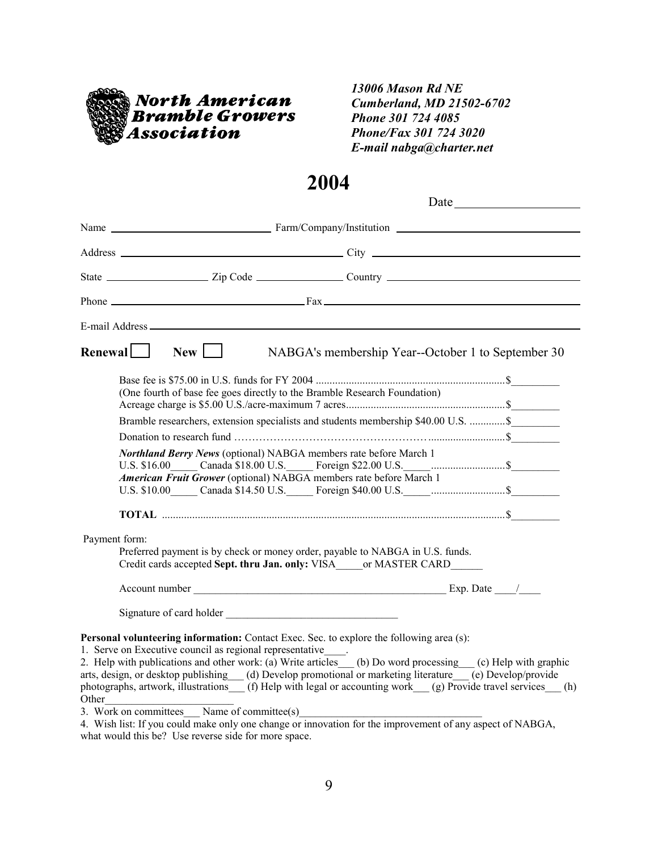

## *13006 Mason Rd NE Cumberland, MD 21502-6702 Phone 301 724 4085 Phone/Fax 301 724 3020 E-mail nabga@charter.net*

# **2004**

|                                                                                                                                                                                                                      |              | Address City City                                                                                                                                                                                                                                                                                                                                                                                                                                                       |  |  |
|----------------------------------------------------------------------------------------------------------------------------------------------------------------------------------------------------------------------|--------------|-------------------------------------------------------------------------------------------------------------------------------------------------------------------------------------------------------------------------------------------------------------------------------------------------------------------------------------------------------------------------------------------------------------------------------------------------------------------------|--|--|
|                                                                                                                                                                                                                      |              |                                                                                                                                                                                                                                                                                                                                                                                                                                                                         |  |  |
|                                                                                                                                                                                                                      |              | Phone $\overline{\phantom{a}}$ $\overline{\phantom{a}}$ $\overline{\phantom{a}}$ $\overline{\phantom{a}}$ $\overline{\phantom{a}}$ $\overline{\phantom{a}}$ $\overline{\phantom{a}}$ $\overline{\phantom{a}}$ $\overline{\phantom{a}}$ $\overline{\phantom{a}}$ $\overline{\phantom{a}}$ $\overline{\phantom{a}}$ $\overline{\phantom{a}}$ $\overline{\phantom{a}}$ $\overline{\phantom{a}}$ $\overline{\phantom{a}}$ $\overline{\phantom{a}}$ $\overline{\phantom{a}}$ |  |  |
|                                                                                                                                                                                                                      |              |                                                                                                                                                                                                                                                                                                                                                                                                                                                                         |  |  |
| Renewal                                                                                                                                                                                                              | $New$ $\Box$ | NABGA's membership Year--October 1 to September 30                                                                                                                                                                                                                                                                                                                                                                                                                      |  |  |
|                                                                                                                                                                                                                      |              |                                                                                                                                                                                                                                                                                                                                                                                                                                                                         |  |  |
|                                                                                                                                                                                                                      |              | (One fourth of base fee goes directly to the Bramble Research Foundation)                                                                                                                                                                                                                                                                                                                                                                                               |  |  |
|                                                                                                                                                                                                                      |              |                                                                                                                                                                                                                                                                                                                                                                                                                                                                         |  |  |
|                                                                                                                                                                                                                      |              | Bramble researchers, extension specialists and students membership \$40.00 U.S.  \$                                                                                                                                                                                                                                                                                                                                                                                     |  |  |
|                                                                                                                                                                                                                      |              |                                                                                                                                                                                                                                                                                                                                                                                                                                                                         |  |  |
|                                                                                                                                                                                                                      |              | Northland Berry News (optional) NABGA members rate before March 1                                                                                                                                                                                                                                                                                                                                                                                                       |  |  |
|                                                                                                                                                                                                                      |              | U.S. \$16.00 Canada \$18.00 U.S. Foreign \$22.00 U.S. Communications S                                                                                                                                                                                                                                                                                                                                                                                                  |  |  |
| American Fruit Grower (optional) NABGA members rate before March 1<br>U.S. \$10.00 Canada \$14.50 U.S. Foreign \$40.00 U.S. Canada Sulla Sulla Sulla Sulla Sulla Sulla Sulla Sulla Sull                              |              |                                                                                                                                                                                                                                                                                                                                                                                                                                                                         |  |  |
|                                                                                                                                                                                                                      |              |                                                                                                                                                                                                                                                                                                                                                                                                                                                                         |  |  |
|                                                                                                                                                                                                                      |              |                                                                                                                                                                                                                                                                                                                                                                                                                                                                         |  |  |
| Payment form:                                                                                                                                                                                                        |              |                                                                                                                                                                                                                                                                                                                                                                                                                                                                         |  |  |
|                                                                                                                                                                                                                      |              | Preferred payment is by check or money order, payable to NABGA in U.S. funds.                                                                                                                                                                                                                                                                                                                                                                                           |  |  |
|                                                                                                                                                                                                                      |              | Credit cards accepted Sept. thru Jan. only: VISA or MASTER CARD                                                                                                                                                                                                                                                                                                                                                                                                         |  |  |
|                                                                                                                                                                                                                      |              |                                                                                                                                                                                                                                                                                                                                                                                                                                                                         |  |  |
|                                                                                                                                                                                                                      |              |                                                                                                                                                                                                                                                                                                                                                                                                                                                                         |  |  |
|                                                                                                                                                                                                                      |              | Signature of card holder                                                                                                                                                                                                                                                                                                                                                                                                                                                |  |  |
|                                                                                                                                                                                                                      |              | <b>Personal volunteering information:</b> Contact Exec. Sec. to explore the following area (s):                                                                                                                                                                                                                                                                                                                                                                         |  |  |
| 1. Serve on Executive council as regional representative                                                                                                                                                             |              |                                                                                                                                                                                                                                                                                                                                                                                                                                                                         |  |  |
| 2. Help with publications and other work: (a) Write articles (b) Do word processing (c) Help with graphic<br>arts, design, or desktop publishing (d) Develop promotional or marketing literature (e) Develop/provide |              |                                                                                                                                                                                                                                                                                                                                                                                                                                                                         |  |  |
|                                                                                                                                                                                                                      |              | photographs, artwork, illustrations (f) Help with legal or accounting work (g) Provide travel services (h)                                                                                                                                                                                                                                                                                                                                                              |  |  |
|                                                                                                                                                                                                                      |              |                                                                                                                                                                                                                                                                                                                                                                                                                                                                         |  |  |
|                                                                                                                                                                                                                      |              | Other<br>3. Work on committees Name of committee(s)                                                                                                                                                                                                                                                                                                                                                                                                                     |  |  |

4. Wish list: If you could make only one change or innovation for the improvement of any aspect of NABGA, what would this be? Use reverse side for more space.